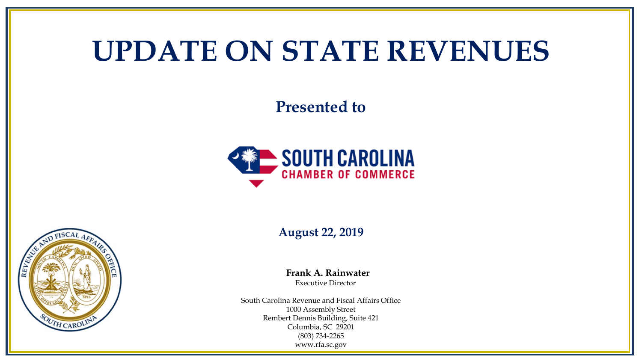## **UPDATE ON STATE REVENUES**

**Presented to**



**August 22, 2019**

**Frank A. Rainwater** Executive Director

South Carolina Revenue and Fiscal Affairs Office 1000 Assembly Street Rembert Dennis Building, Suite 421 Columbia, SC 29201 (803) 734-2265 www.rfa.sc.gov

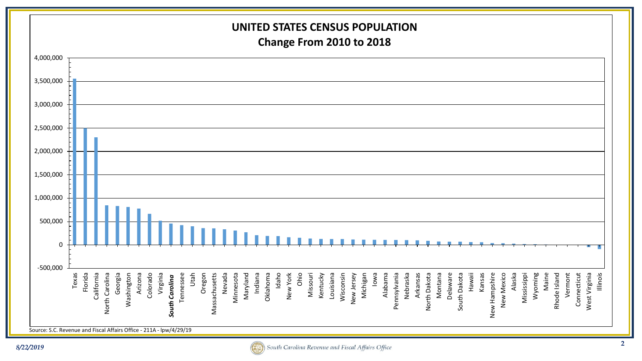

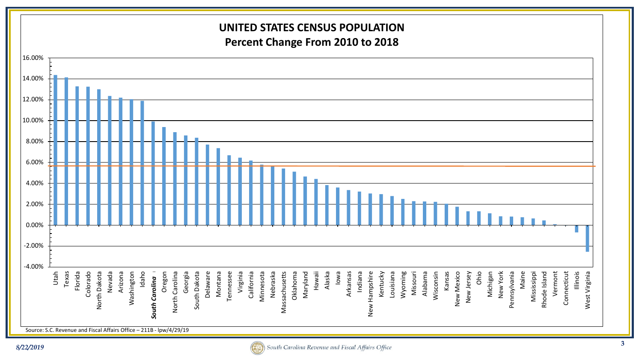## **UNITED STATES CENSUS POPULATION Percent Change From 2010 to 2018** 16.00% 14.00% 12.00% 10.00% 8.00% 6.00% 4.00% 2.00% 0.00% -2.00% -4.00% Florida Nevada Michigan New York Utah Texas Arizona Idaho Oregon Georgia Montana Virginia California Hawaii Alaska Iowa Indiana Missouri Alabama Wisconsin Kansas Ohio Maine Illinois Colorado North Dakota Vermont West Virginia North Dakota Washington Washington uth Carolina North Carolina North Carolina South Dakota Delaware Delaware Montana Tennessee Tennessee California Minnesota Minnesota Nebraska Massachusetts Massachusetts Oklahoma Oklahoma Maryland Arkansas Hampshire New Hampshire Kentucky Louisiana Wyoming Wisconsin New Mexico New Mexico New Jersey New Jersey New York Pennsylvania Pennsylvania Mississippi Mississippi Rhode Island Vermont Connecticut Connecticut South Dakota Nebraska Louisiana Rhode Island West Virginia **South Carolina** *South Carolina* New Source: S.C. Revenue and Fiscal Affairs Office – 211B - lpw/4/29/19

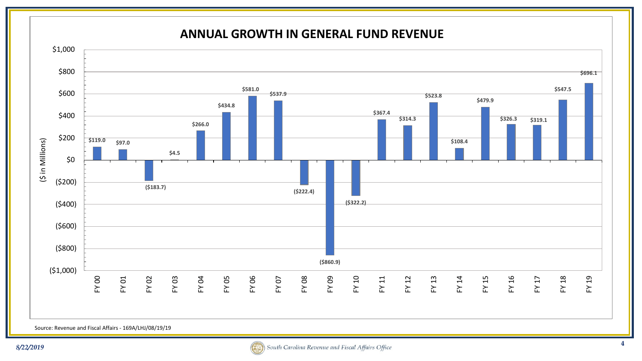

Source: Revenue and Fiscal Affairs - 169A/LHJ/08/19/19

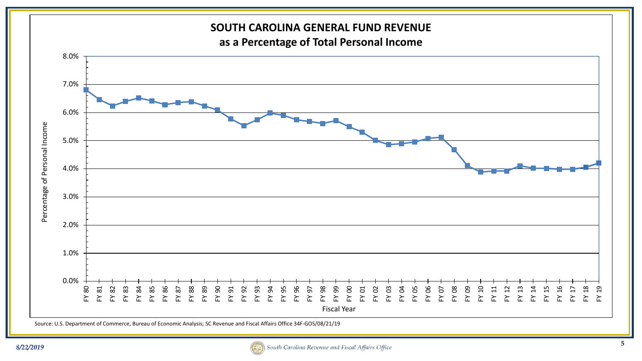

Source: U.S. Department of Commerce, Bureau of Economic Analysis; SC Revenue and Fiscal Affairs Office 34F-GOS/08/21/19

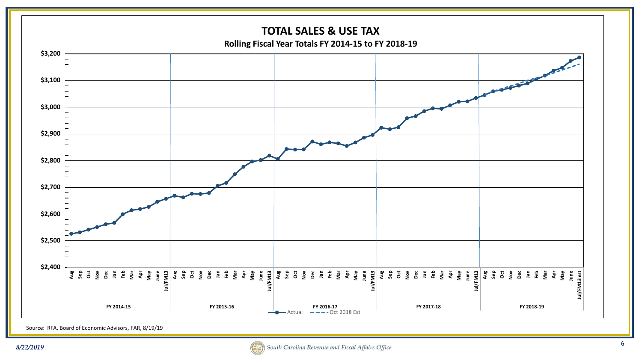

Source: RFA, Board of Economic Advisors, FAR, 8/19/19

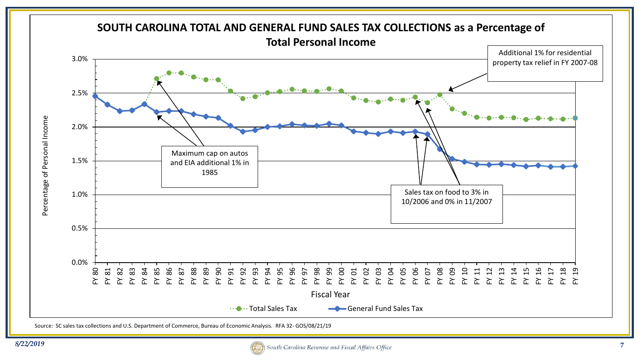

Source: SC sales tax collections and U.S. Department of Commerce, Bureau of Economic Analysis. RFA 32- GOS/08/21/19

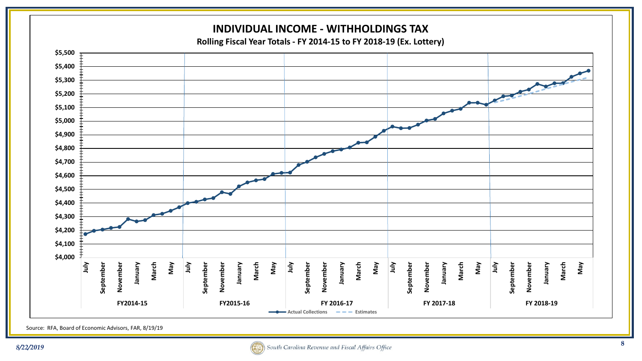

Source: RFA, Board of Economic Advisors, FAR, 8/19/19

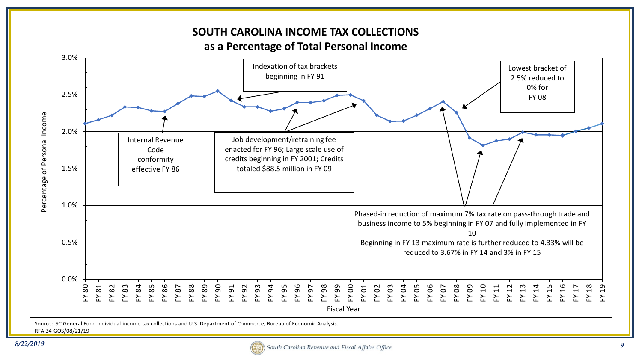

Source: SC General Fund individual income tax collections and U.S. Department of Commerce, Bureau of Economic Analysis. RFA 34-GOS/08/21/19

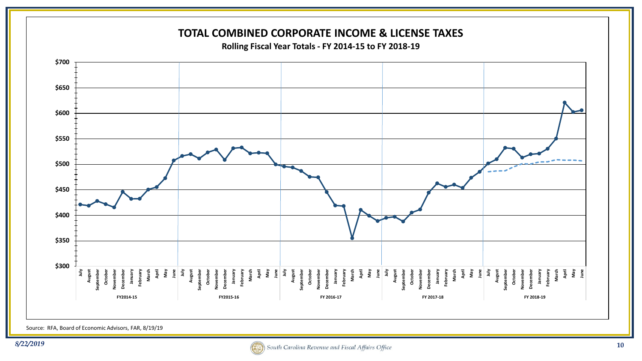

Source: RFA, Board of Economic Advisors, FAR, 8/19/19

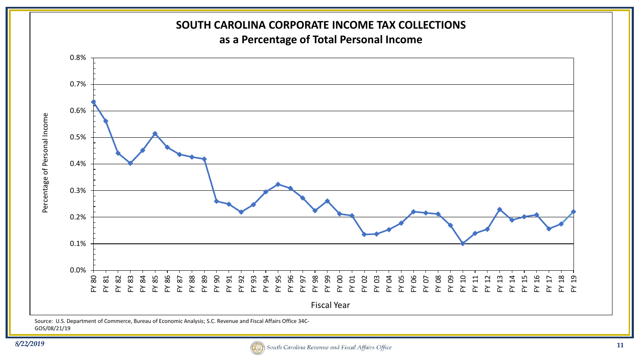

GOS/08/21/19